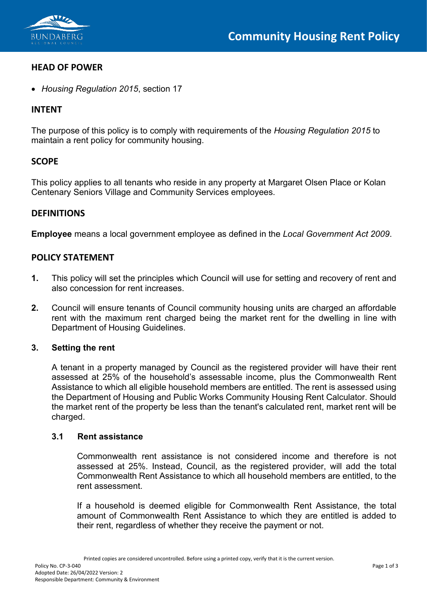

## **HEAD OF POWER**

• *Housing Regulation 2015*, section 17

# **INTENT**

The purpose of this policy is to comply with requirements of the *Housing Regulation 2015* to maintain a rent policy for community housing.

# **SCOPE**

This policy applies to all tenants who reside in any property at Margaret Olsen Place or Kolan Centenary Seniors Village and Community Services employees.

## **DEFINITIONS**

**Employee** means a local government employee as defined in the *Local Government Act 2009*.

# **POLICY STATEMENT**

- **1.** This policy will set the principles which Council will use for setting and recovery of rent and also concession for rent increases.
- **2.** Council will ensure tenants of Council community housing units are charged an affordable rent with the maximum rent charged being the market rent for the dwelling in line with Department of Housing Guidelines.

## **3. Setting the rent**

A tenant in a property managed by Council as the registered provider will have their rent assessed at 25% of the household's assessable income, plus the Commonwealth Rent Assistance to which all eligible household members are entitled. The rent is assessed using the Department of Housing and Public Works Community Housing Rent Calculator. Should the market rent of the property be less than the tenant's calculated rent, market rent will be charged.

### **3.1 Rent assistance**

Commonwealth rent assistance is not considered income and therefore is not assessed at 25%. Instead, Council, as the registered provider, will add the total Commonwealth Rent Assistance to which all household members are entitled, to the rent assessment.

If a household is deemed eligible for Commonwealth Rent Assistance, the total amount of Commonwealth Rent Assistance to which they are entitled is added to their rent, regardless of whether they receive the payment or not.

Printed copies are considered uncontrolled. Before using a printed copy, verify that it is the current version.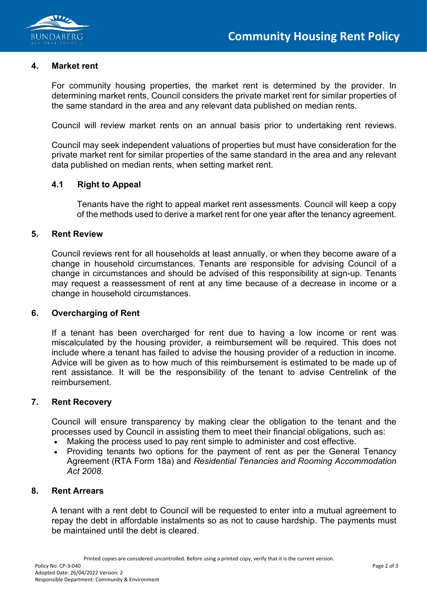

#### **4. Market rent**

For community housing properties, the market rent is determined by the provider. In determining market rents, Council considers the private market rent for similar properties of the same standard in the area and any relevant data published on median rents.

Council will review market rents on an annual basis prior to undertaking rent reviews.

Council may seek independent valuations of properties but must have consideration for the private market rent for similar properties of the same standard in the area and any relevant data published on median rents, when setting market rent.

## **4.1 Right to Appeal**

Tenants have the right to appeal market rent assessments. Council will keep a copy of the methods used to derive a market rent for one year after the tenancy agreement.

### **5. Rent Review**

Council reviews rent for all households at least annually, or when they become aware of a change in household circumstances. Tenants are responsible for advising Council of a change in circumstances and should be advised of this responsibility at sign-up. Tenants may request a reassessment of rent at any time because of a decrease in income or a change in household circumstances.

### **6. Overcharging of Rent**

If a tenant has been overcharged for rent due to having a low income or rent was miscalculated by the housing provider, a reimbursement will be required. This does not include where a tenant has failed to advise the housing provider of a reduction in income. Advice will be given as to how much of this reimbursement is estimated to be made up of rent assistance. It will be the responsibility of the tenant to advise Centrelink of the reimbursement.

### **7. Rent Recovery**

Council will ensure transparency by making clear the obligation to the tenant and the processes used by Council in assisting them to meet their financial obligations, such as:

- Making the process used to pay rent simple to administer and cost effective.
- Providing tenants two options for the payment of rent as per the General Tenancy Agreement (RTA Form 18a) and *Residential Tenancies and Rooming Accommodation Act 2008*.

### **8. Rent Arrears**

A tenant with a rent debt to Council will be requested to enter into a mutual agreement to repay the debt in affordable instalments so as not to cause hardship. The payments must be maintained until the debt is cleared.

Printed copies are considered uncontrolled. Before using a printed copy, verify that it is the current version.